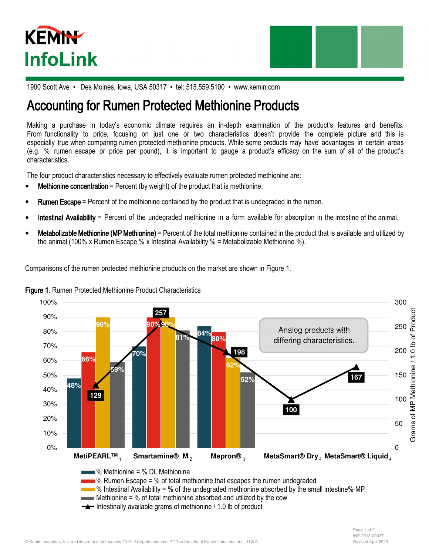



1900 Scott Ave • Des Moines, Iowa, USA 50317 • tel: 515.559.5100 • www.kemin.com

# Accounting for Rumen Protected Methionine Products

Making a purchase in today's economic climate requires an in-depth examination of the product's features and benefits. From functionality to price, focusing on just one or two characteristics doesn't provide the complete picture and this is especially true when comparing rumen protected methionine products. While some products may have advantages in certain areas (e.g. % rumen escape or price per pound), it is important to gauge a product's efficacy on the sum of all of the product's characteristics.

The four product characteristics necessary to effectively evaluate rumen protected methionine are:

- **Methionine concentration** = Percent (by weight) of the product that is methionine.
- **Rumen Escape** = Percent of the methionine contained by the product that is undegraded in the rumen.
- Intestinal Availability = Percent of the undegraded methionine in a form available for absorption in the intestine of the animal.
- Metabolizable Methionine (MP Methionine) = Percent of the total methionine contained in the product that is available and utilized by the animal (100% x Rumen Escape % x Intestinal Availability % = Metabolizable Methionine %).

Comparisons of the rumen protected methionine products on the market are shown in Figure 1.



### Figure 1. Rumen Protected Methionine Product Characteristics